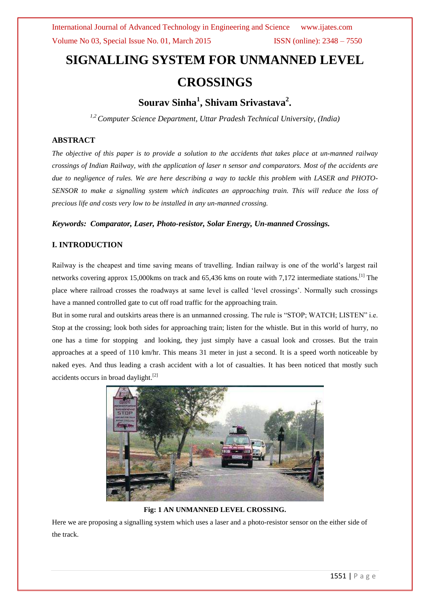# **SIGNALLING SYSTEM FOR UNMANNED LEVEL CROSSINGS**

# **Sourav Sinha<sup>1</sup> , Shivam Srivastava<sup>2</sup> .**

*1,2Computer Science Department, Uttar Pradesh Technical University, (India)*

# **ABSTRACT**

*The objective of this paper is to provide a solution to the accidents that takes place at un-manned railway crossings of Indian Railway, with the application of laser n sensor and comparators. Most of the accidents are due to negligence of rules. We are here describing a way to tackle this problem with LASER and PHOTO-SENSOR to make a signalling system which indicates an approaching train. This will reduce the loss of precious life and costs very low to be installed in any un-manned crossing.*

## *Keywords: Comparator, Laser, Photo-resistor, Solar Energy, Un-manned Crossings.*

## **I. INTRODUCTION**

Railway is the cheapest and time saving means of travelling. Indian railway is one of the world"s largest rail networks covering approx 15,000kms on track and 65,436 kms on route with 7,172 intermediate stations.[1] The place where railroad crosses the roadways at same level is called "level crossings". Normally such crossings have a manned controlled gate to cut off road traffic for the approaching train.

But in some rural and outskirts areas there is an unmanned crossing. The rule is "STOP; WATCH; LISTEN" i.e. Stop at the crossing; look both sides for approaching train; listen for the whistle. But in this world of hurry, no one has a time for stopping and looking, they just simply have a casual look and crosses. But the train approaches at a speed of 110 km/hr. This means 31 meter in just a second. It is a speed worth noticeable by naked eyes. And thus leading a crash accident with a lot of casualties. It has been noticed that mostly such accidents occurs in broad daylight.<sup>[2]</sup>



## **Fig: 1 AN UNMANNED LEVEL CROSSING.**

Here we are proposing a signalling system which uses a laser and a photo-resistor sensor on the either side of the track.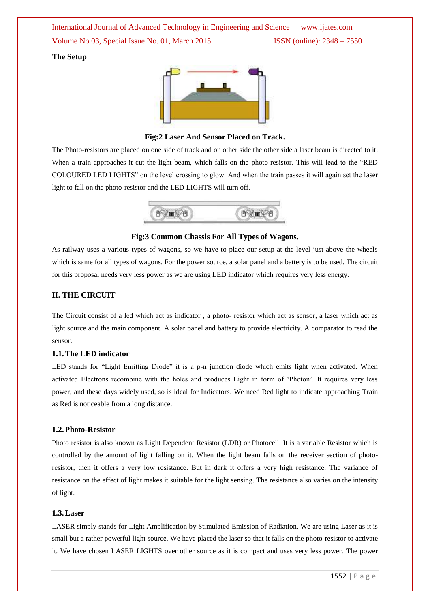International Journal of Advanced Technology in Engineering and Science www.ijates.com Volume No 03, Special Issue No. 01, March 2015 **ISSN** (online): 2348 – 7550

#### **The Setup**



#### **Fig:2 Laser And Sensor Placed on Track.**

The Photo-resistors are placed on one side of track and on other side the other side a laser beam is directed to it. When a train approaches it cut the light beam, which falls on the photo-resistor. This will lead to the "RED COLOURED LED LIGHTS" on the level crossing to glow. And when the train passes it will again set the laser light to fall on the photo-resistor and the LED LIGHTS will turn off.



#### **Fig:3 Common Chassis For All Types of Wagons.**

As railway uses a various types of wagons, so we have to place our setup at the level just above the wheels which is same for all types of wagons. For the power source, a solar panel and a battery is to be used. The circuit for this proposal needs very less power as we are using LED indicator which requires very less energy.

#### **II. THE CIRCUIT**

The Circuit consist of a led which act as indicator , a photo- resistor which act as sensor, a laser which act as light source and the main component. A solar panel and battery to provide electricity. A comparator to read the sensor.

#### **1.1.The LED indicator**

LED stands for "Light Emitting Diode" it is a p-n junction diode which emits light when activated. When activated Electrons recombine with the holes and produces Light in form of "Photon". It requires very less power, and these days widely used, so is ideal for Indicators. We need Red light to indicate approaching Train as Red is noticeable from a long distance.

#### **1.2.Photo-Resistor**

Photo resistor is also known as Light Dependent Resistor (LDR) or Photocell. It is a variable Resistor which is controlled by the amount of light falling on it. When the light beam falls on the receiver section of photoresistor, then it offers a very low resistance. But in dark it offers a very high resistance. The variance of resistance on the effect of light makes it suitable for the light sensing. The resistance also varies on the intensity of light.

#### **1.3.Laser**

LASER simply stands for Light Amplification by Stimulated Emission of Radiation. We are using Laser as it is small but a rather powerful light source. We have placed the laser so that it falls on the photo-resistor to activate it. We have chosen LASER LIGHTS over other source as it is compact and uses very less power. The power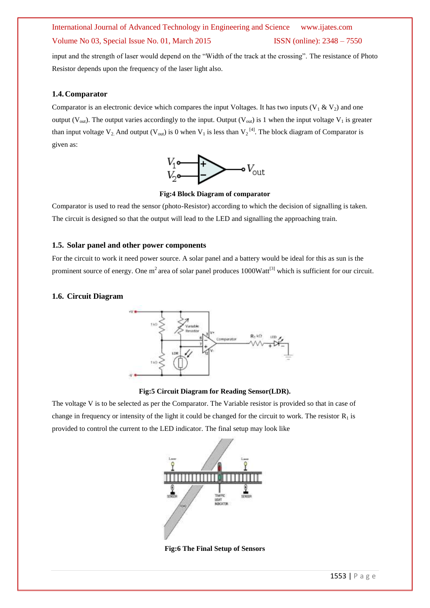# International Journal of Advanced Technology in Engineering and Science www.ijates.com Volume No 03, Special Issue No. 01, March 2015 **ISSN** (online): 2348 – 7550

input and the strength of laser would depend on the "Width of the track at the crossing". The resistance of Photo Resistor depends upon the frequency of the laser light also.

#### **1.4.Comparator**

Comparator is an electronic device which compares the input Voltages. It has two inputs  $(V_1 \& V_2)$  and one output (V<sub>out</sub>). The output varies accordingly to the input. Output (V<sub>out</sub>) is 1 when the input voltage V<sub>1</sub> is greater than input voltage  $V_2$ . And output ( $V_{out}$ ) is 0 when  $V_1$  is less than  $V_2$ <sup>[4]</sup>. The block diagram of Comparator is given as:



**Fig:4 Block Diagram of comparator**

Comparator is used to read the sensor (photo-Resistor) according to which the decision of signalling is taken. The circuit is designed so that the output will lead to the LED and signalling the approaching train.

## **1.5. Solar panel and other power components**

For the circuit to work it need power source. A solar panel and a battery would be ideal for this as sun is the prominent source of energy. One  $m^2$  area of solar panel produces 1000Watt<sup>[3]</sup> which is sufficient for our circuit.

#### **1.6. Circuit Diagram**



**Fig:5 Circuit Diagram for Reading Sensor(LDR).**

The voltage V is to be selected as per the Comparator. The Variable resistor is provided so that in case of change in frequency or intensity of the light it could be changed for the circuit to work. The resistor  $R_1$  is provided to control the current to the LED indicator. The final setup may look like



**Fig:6 The Final Setup of Sensors**